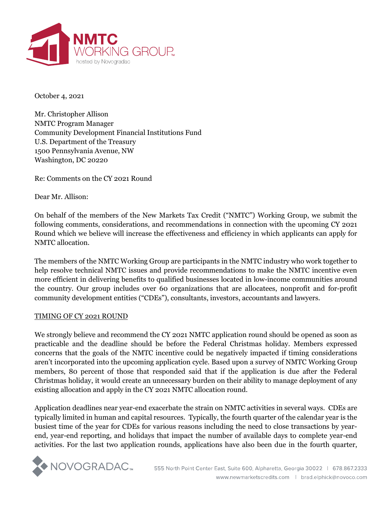

October 4, 2021

Mr. Christopher Allison NMTC Program Manager Community Development Financial Institutions Fund U.S. Department of the Treasury 1500 Pennsylvania Avenue, NW Washington, DC 20220

Re: Comments on the CY 2021 Round

Dear Mr. Allison:

On behalf of the members of the New Markets Tax Credit ("NMTC") Working Group, we submit the following comments, considerations, and recommendations in connection with the upcoming CY 2021 Round which we believe will increase the effectiveness and efficiency in which applicants can apply for NMTC allocation.

The members of the NMTC Working Group are participants in the NMTC industry who work together to help resolve technical NMTC issues and provide recommendations to make the NMTC incentive even more efficient in delivering benefits to qualified businesses located in low-income communities around the country. Our group includes over 60 organizations that are allocatees, nonprofit and for-profit community development entities ("CDEs"), consultants, investors, accountants and lawyers.

## TIMING OF CY 2021 ROUND

We strongly believe and recommend the CY 2021 NMTC application round should be opened as soon as practicable and the deadline should be before the Federal Christmas holiday. Members expressed concerns that the goals of the NMTC incentive could be negatively impacted if timing considerations aren't incorporated into the upcoming application cycle. Based upon a survey of NMTC Working Group members, 80 percent of those that responded said that if the application is due after the Federal Christmas holiday, it would create an unnecessary burden on their ability to manage deployment of any existing allocation and apply in the CY 2021 NMTC allocation round.

Application deadlines near year-end exacerbate the strain on NMTC activities in several ways. CDEs are typically limited in human and capital resources. Typically, the fourth quarter of the calendar year is the busiest time of the year for CDEs for various reasons including the need to close transactions by yearend, year-end reporting, and holidays that impact the number of available days to complete year-end activities. For the last two application rounds, applications have also been due in the fourth quarter,

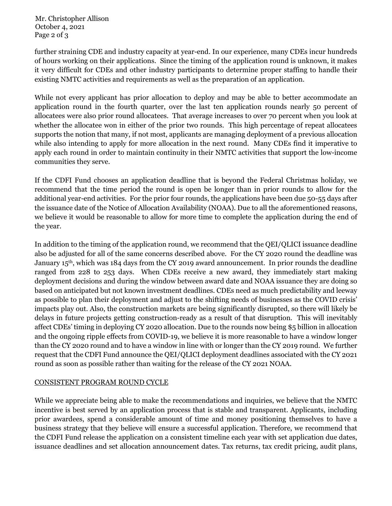Mr. Christopher Allison October 4, 2021 Page 2 of 3

further straining CDE and industry capacity at year-end. In our experience, many CDEs incur hundreds of hours working on their applications. Since the timing of the application round is unknown, it makes it very difficult for CDEs and other industry participants to determine proper staffing to handle their existing NMTC activities and requirements as well as the preparation of an application.

While not every applicant has prior allocation to deploy and may be able to better accommodate an application round in the fourth quarter, over the last ten application rounds nearly 50 percent of allocatees were also prior round allocatees. That average increases to over 70 percent when you look at whether the allocatee won in either of the prior two rounds. This high percentage of repeat allocatees supports the notion that many, if not most, applicants are managing deployment of a previous allocation while also intending to apply for more allocation in the next round. Many CDEs find it imperative to apply each round in order to maintain continuity in their NMTC activities that support the low-income communities they serve.

If the CDFI Fund chooses an application deadline that is beyond the Federal Christmas holiday, we recommend that the time period the round is open be longer than in prior rounds to allow for the additional year-end activities. For the prior four rounds, the applications have been due 50-55 days after the issuance date of the Notice of Allocation Availability (NOAA). Due to all the aforementioned reasons, we believe it would be reasonable to allow for more time to complete the application during the end of the year.

In addition to the timing of the application round, we recommend that the QEI/QLICI issuance deadline also be adjusted for all of the same concerns described above. For the CY 2020 round the deadline was January  $15<sup>th</sup>$ , which was  $184$  days from the CY 2019 award announcement. In prior rounds the deadline ranged from 228 to 253 days. When CDEs receive a new award, they immediately start making deployment decisions and during the window between award date and NOAA issuance they are doing so based on anticipated but not known investment deadlines. CDEs need as much predictability and leeway as possible to plan their deployment and adjust to the shifting needs of businesses as the COVID crisis' impacts play out. Also, the construction markets are being significantly disrupted, so there will likely be delays in future projects getting construction-ready as a result of that disruption. This will inevitably affect CDEs' timing in deploying CY 2020 allocation. Due to the rounds now being \$5 billion in allocation and the ongoing ripple effects from COVID-19, we believe it is more reasonable to have a window longer than the CY 2020 round and to have a window in line with or longer than the CY 2019 round. We further request that the CDFI Fund announce the QEI/QLICI deployment deadlines associated with the CY 2021 round as soon as possible rather than waiting for the release of the CY 2021 NOAA.

## CONSISTENT PROGRAM ROUND CYCLE

While we appreciate being able to make the recommendations and inquiries, we believe that the NMTC incentive is best served by an application process that is stable and transparent. Applicants, including prior awardees, spend a considerable amount of time and money positioning themselves to have a business strategy that they believe will ensure a successful application. Therefore, we recommend that the CDFI Fund release the application on a consistent timeline each year with set application due dates, issuance deadlines and set allocation announcement dates. Tax returns, tax credit pricing, audit plans,